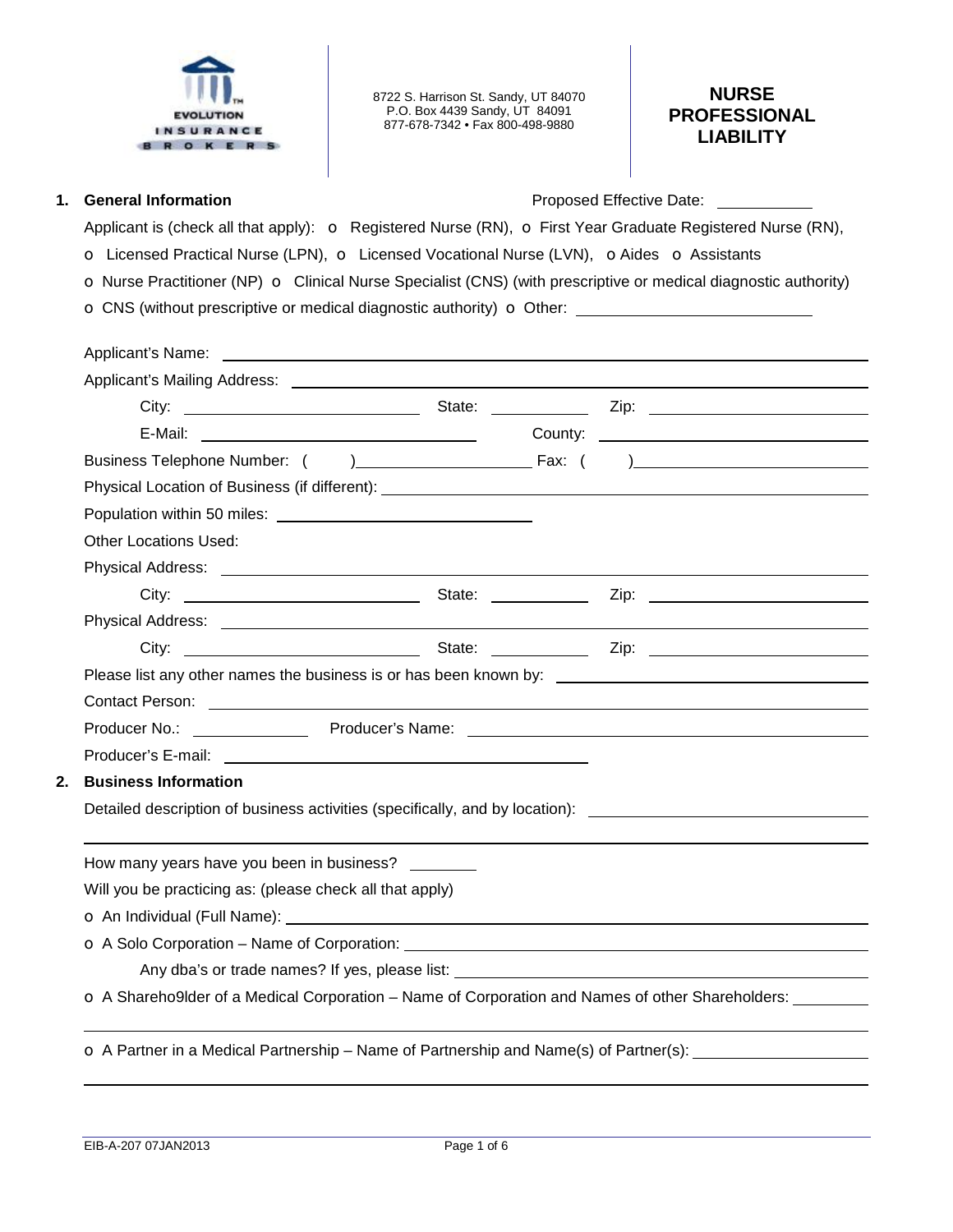

8722 S. Harrison St. Sandy, UT 84070 P.O. Box 4439 Sandy, UT 84091 877-678-7342 • Fax 800-498-9880

# **NURSE PROFESSIONAL LIABILITY**

1. **General Information Contract Contract Proposed Effective Date: Proposed Effective Date: Proposed Effective Date:** 

Applicant is (check all that apply):  $\sigma$  Registered Nurse (RN),  $\sigma$  First Year Graduate Registered Nurse (RN), o Licensed Practical Nurse (LPN), o Licensed Vocational Nurse (LVN), oAides o Assistants o Nurse Practitioner (NP) o Clinical Nurse Specialist (CNS) (with prescriptive or medical diagnostic authority) o CNS (without prescriptive or medical diagnostic authority) o Other:

| <b>Other Locations Used:</b>                                                                                                                                                                                                         |  |                                                                                                                |
|--------------------------------------------------------------------------------------------------------------------------------------------------------------------------------------------------------------------------------------|--|----------------------------------------------------------------------------------------------------------------|
|                                                                                                                                                                                                                                      |  |                                                                                                                |
|                                                                                                                                                                                                                                      |  |                                                                                                                |
|                                                                                                                                                                                                                                      |  |                                                                                                                |
|                                                                                                                                                                                                                                      |  |                                                                                                                |
|                                                                                                                                                                                                                                      |  |                                                                                                                |
|                                                                                                                                                                                                                                      |  |                                                                                                                |
|                                                                                                                                                                                                                                      |  |                                                                                                                |
| Producer No.: ______________                                                                                                                                                                                                         |  | Contact Person: <u>contact Person</u>                                                                          |
| Producer's E-mail: <u>contract the contract of the contract of the contract of the contract of the contract of the contract of the contract of the contract of the contract of the contract of the contract of the contract of t</u> |  |                                                                                                                |
| <b>Business Information</b>                                                                                                                                                                                                          |  |                                                                                                                |
|                                                                                                                                                                                                                                      |  | Detailed description of business activities (specifically, and by location): _________________________________ |
|                                                                                                                                                                                                                                      |  |                                                                                                                |
| How many years have you been in business?                                                                                                                                                                                            |  |                                                                                                                |
| Will you be practicing as: (please check all that apply)                                                                                                                                                                             |  |                                                                                                                |
|                                                                                                                                                                                                                                      |  |                                                                                                                |
|                                                                                                                                                                                                                                      |  |                                                                                                                |
|                                                                                                                                                                                                                                      |  |                                                                                                                |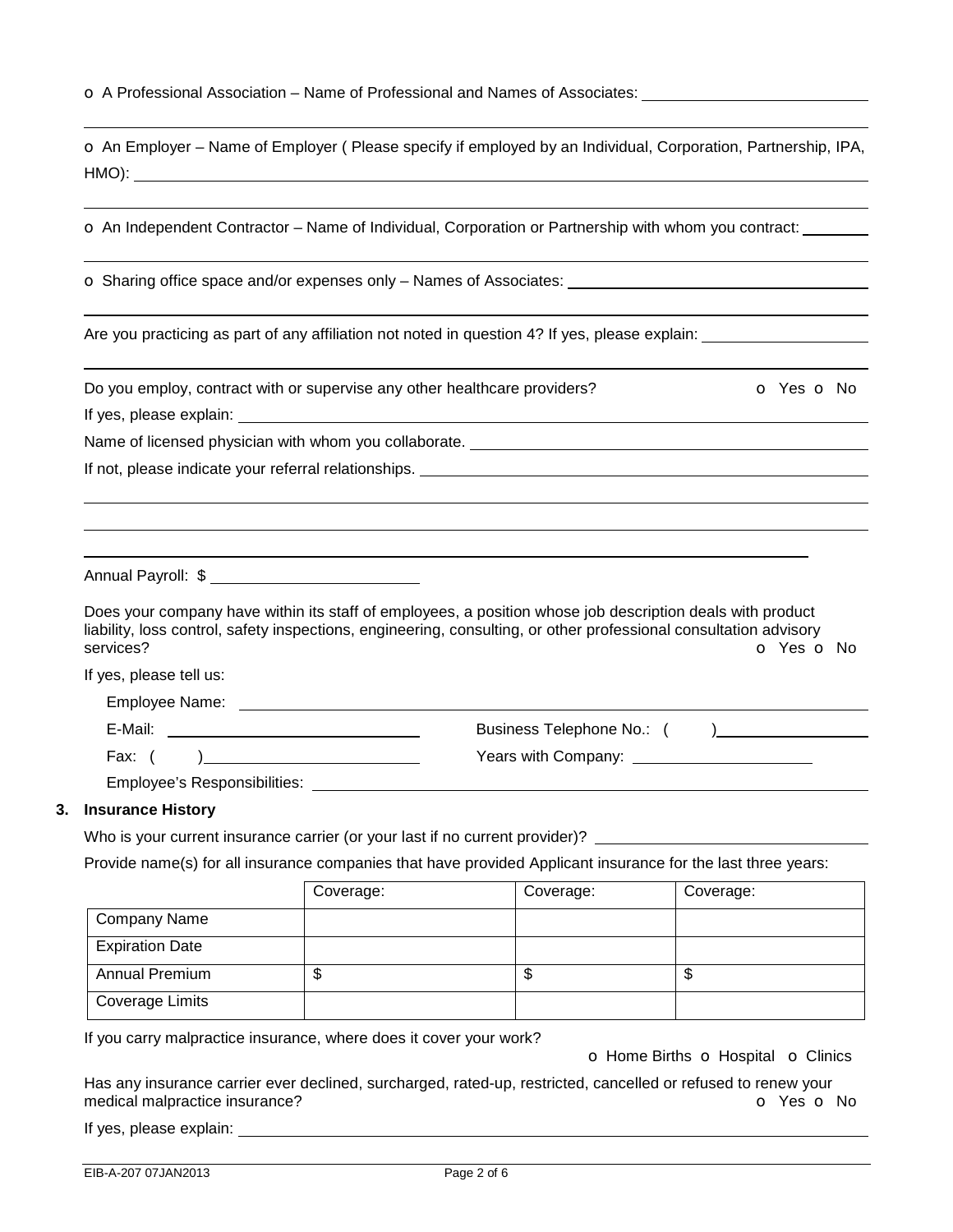| $\bullet$ A Professional Association – Name of Professional and Names of Associates: |  |
|--------------------------------------------------------------------------------------|--|
|--------------------------------------------------------------------------------------|--|

| $HMO$ :                                                                                                                                                            |  |
|--------------------------------------------------------------------------------------------------------------------------------------------------------------------|--|
| o An Independent Contractor – Name of Individual, Corporation or Partnership with whom you contract:                                                               |  |
| <b>o</b> Sharing office space and/or expenses only – Names of Associates: <u>entitled</u> and the Sharing office space and/or expenses only – Names of Associates: |  |

o An Employer – Name of Employer ( Please specify if employed by an Individual, Corporation, Partnership, IPA,

Are you practicing as part of any affiliation not noted in question 4? If yes, please explain:

Do you employ, contract with or supervise any other healthcare providers? **O** Yes **o** No

If yes, please explain:

Name of licensed physician with whom you collaborate.

If not, please indicate your referral relationships.

Annual Payroll: \$

Does your company have within its staff of employees, a position whose job description deals with product liability, loss control, safety inspections, engineering, consulting, or other professional consultation advisory services? **o** Yes **o** No.

If yes, please tell us:

Employee Name: E-Mail: Business Telephone No.: ( )

Fax: ( ) Years with Company:

Employee's Responsibilities:

# **3. Insurance History**

Who is your current insurance carrier (or your last if no current provider)? \_\_\_\_\_

Provide name(s) for all insurance companies that have provided Applicant insurance for the last three years:

|                        | Coverage: | Coverage: | Coverage: |
|------------------------|-----------|-----------|-----------|
| <b>Company Name</b>    |           |           |           |
| <b>Expiration Date</b> |           |           |           |
| <b>Annual Premium</b>  | Ψ         | Φ         | Φ         |
| <b>Coverage Limits</b> |           |           |           |

If you carry malpractice insurance, where does it cover your work?

o Home Births o Hospital o Clinics

Has any insurance carrier ever declined, surcharged, rated-up, restricted, cancelled or refused to renew your medical malpractice insurance? **o** Yes **o** No

If yes, please explain: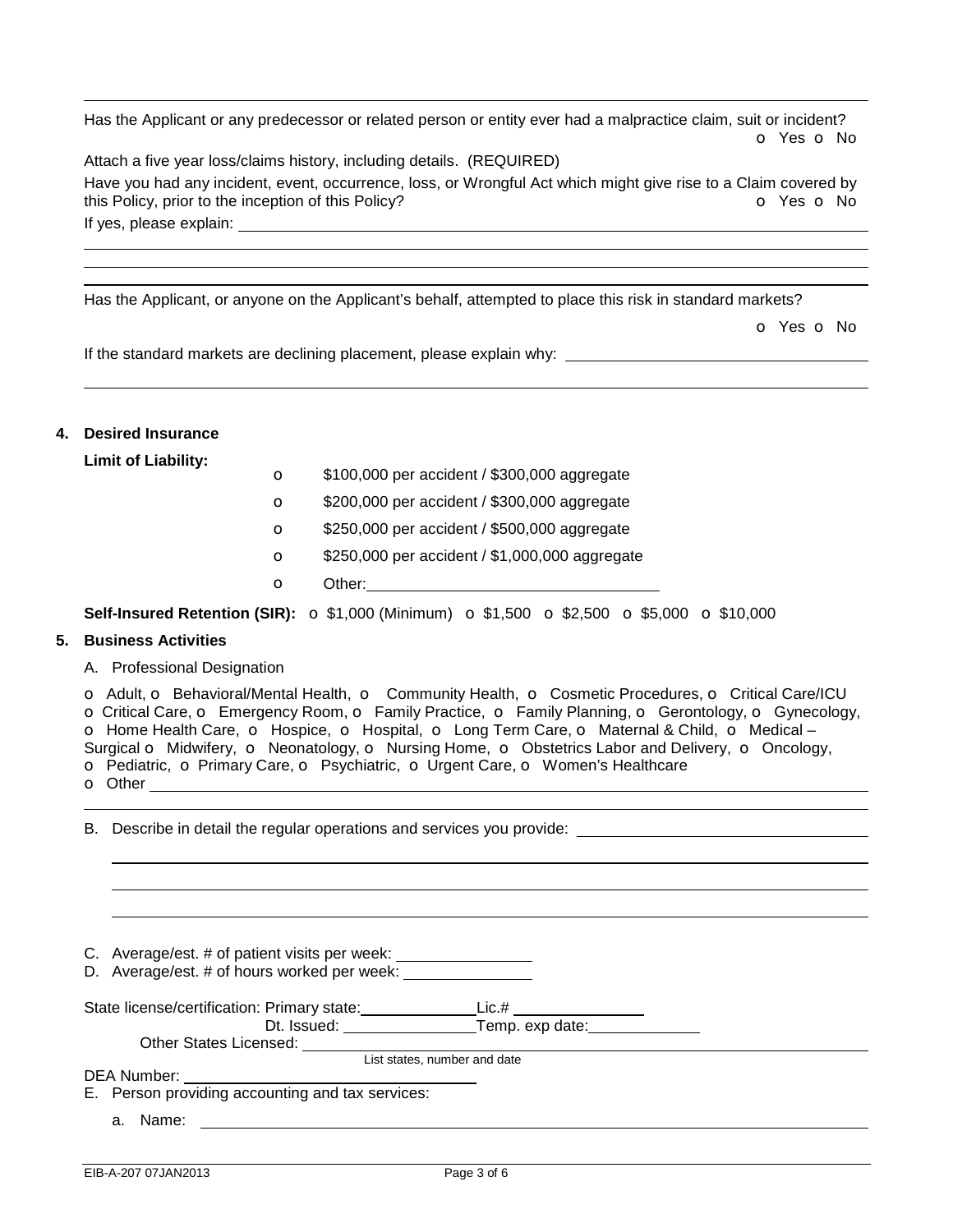Has the Applicant or any predecessor or related person or entity ever had a malpractice claim, suit or incident? o Yes o No

Attach a five year loss/claims history, including details. (REQUIRED)

Have you had any incident, event, occurrence, loss, or Wrongful Act which might give rise to a Claim covered by this Policy, prior to the inception of this Policy? **o** Yes **o** No If yes, please explain:

Has the Applicant, or anyone on the Applicant's behalf, attempted to place this risk in standard markets?

o Yes o No

If the standard markets are declining placement, please explain why: \_\_\_\_\_\_\_\_\_\_\_

# **4. Desired Insurance**

**Limit of Liability:** 

- o \$100,000 per accident / \$300,000 aggregate
- o \$200,000 per accident / \$300,000 aggregate
- o \$250,000 per accident / \$500,000 aggregate
- o \$250,000 per accident / \$1,000,000 aggregate
- o Other:

**Self-Insured Retention (SIR):** o \$1,000 (Minimum) o \$1,500 o \$2,500 o \$5,000 o \$10,000

# **5. Business Activities**

A. Professional Designation

o Adult, o Behavioral/Mental Health, o Community Health, o Cosmetic Procedures, o Critical Care/ICU o Critical Care, o Emergency Room, o Family Practice, o Family Planning, o Gerontology, o Gynecology, o Home Health Care, o Hospice, o Hospital, o Long Term Care, o Maternal & Child, o Medical – Surgical o Midwifery, o Neonatology, o Nursing Home, o Obstetrics Labor and Delivery, o Oncology, o Pediatric, o Primary Care, o Psychiatric, o Urgent Care, o Women's Healthcare o Other

B. Describe in detail the regular operations and services you provide:

C. Average/est. # of patient visits per week: D. Average/est. # of hours worked per week:

State license/certification: Primary state: Lic.# Lic.#

Dt. Issued: Temp. exp date:

Other States Licensed: \_\_\_\_\_\_

List states, number and date

DEA Number:

E. Person providing accounting and tax services:

a. Name: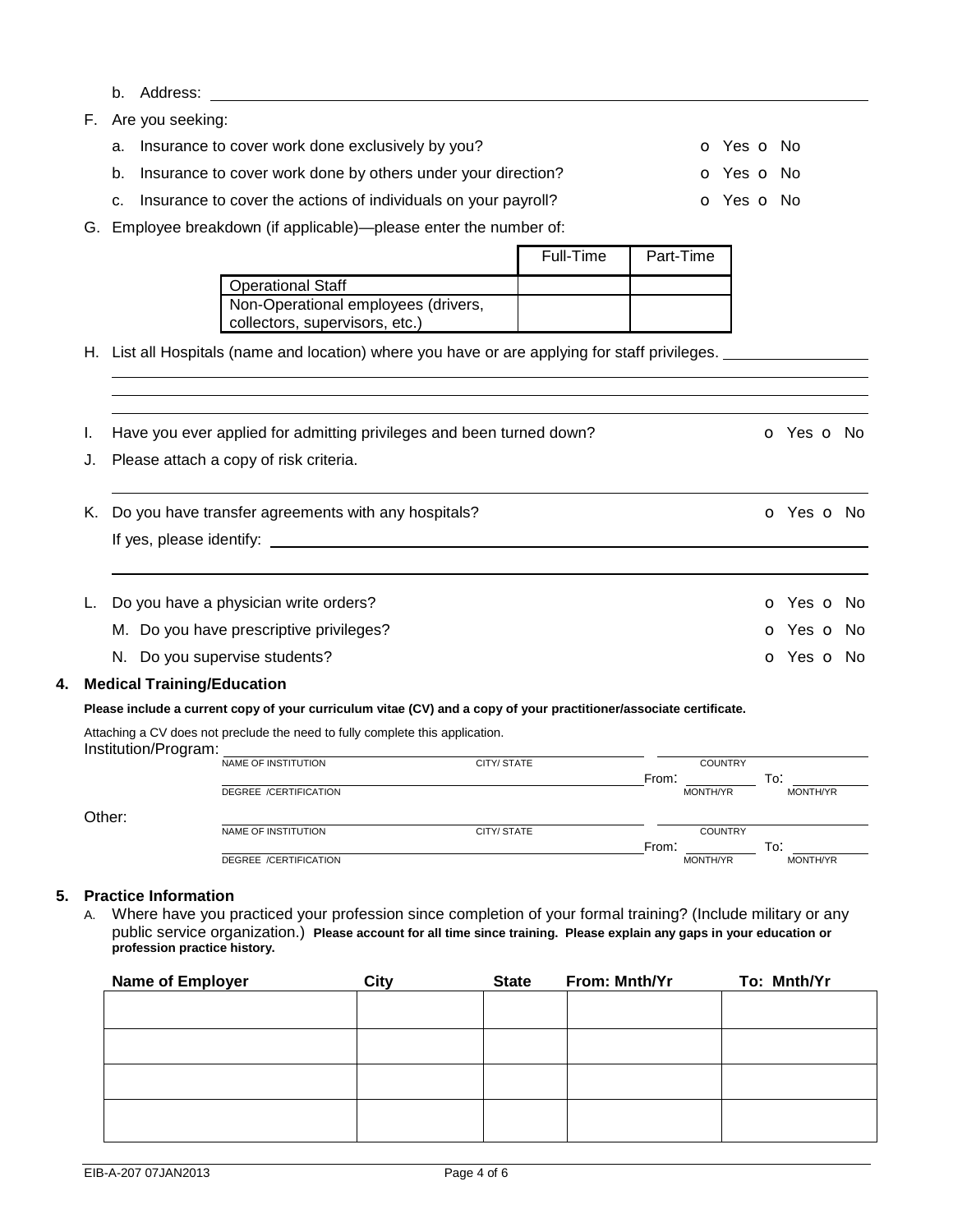- b. Address:
- F. Are you seeking:

- a. Insurance to cover work done exclusively by you? **o** Yes **o** No
- b. Insurance to cover work done by others under your direction? **O** Yes **O** No
- c. Insurance to cover the actions of individuals on your payroll?  $\bullet$  Yes  $\bullet$  No
- G. Employee breakdown (if applicable)—please enter the number of:

|                                     | Full-Time | Part-Time |
|-------------------------------------|-----------|-----------|
| <b>Operational Staff</b>            |           |           |
| Non-Operational employees (drivers, |           |           |
| collectors, supervisors, etc.)      |           |           |

H. List all Hospitals (name and location) where you have or are applying for staff privileges.

| L. | Have you ever applied for admitting privileges and been turned down?<br>Please attach a copy of risk criteria.    | O Yes O No                             |
|----|-------------------------------------------------------------------------------------------------------------------|----------------------------------------|
| Κ. | Do you have transfer agreements with any hospitals?<br>If yes, please identify:                                   | <b>O</b> Yes <b>O</b> No               |
| L. | Do you have a physician write orders?<br>M. Do you have prescriptive privileges?<br>N. Do you supervise students? | O Yes O No<br>O Yes O No<br>O Yes O No |

# **4. Medical Training/Education**

### Please include a current copy of your curriculum vitae (CV) and a copy of your practitioner/associate certificate.

Attaching a CV does not preclude the need to fully complete this application.

| Institution/Program: |                              |            |                 |          |
|----------------------|------------------------------|------------|-----------------|----------|
|                      | NAME OF INSTITUTION          | CITY/STATE | <b>COUNTRY</b>  |          |
|                      |                              |            | From:           | To:      |
|                      | <b>DEGREE /CERTIFICATION</b> |            | <b>MONTH/YR</b> | MONTH/YR |
| Other:               |                              |            |                 |          |
|                      | NAME OF INSTITUTION          | CITY/STATE | <b>COUNTRY</b>  |          |
|                      |                              |            | From:           | To:      |
|                      | DEGREE /CERTIFICATION        |            | <b>MONTH/YR</b> | MONTH/YR |

# **5. Practice Information**

A. Where have you practiced your profession since completion of your formal training? (Include military or any public service organization.) **Please account for all time since training. Please explain any gaps in your education or profession practice history.** 

| Name of Employer | <b>City</b> | <b>State</b> | From: Mnth/Yr | To: Mnth/Yr |
|------------------|-------------|--------------|---------------|-------------|
|                  |             |              |               |             |
|                  |             |              |               |             |
|                  |             |              |               |             |
|                  |             |              |               |             |
|                  |             |              |               |             |
|                  |             |              |               |             |
|                  |             |              |               |             |
|                  |             |              |               |             |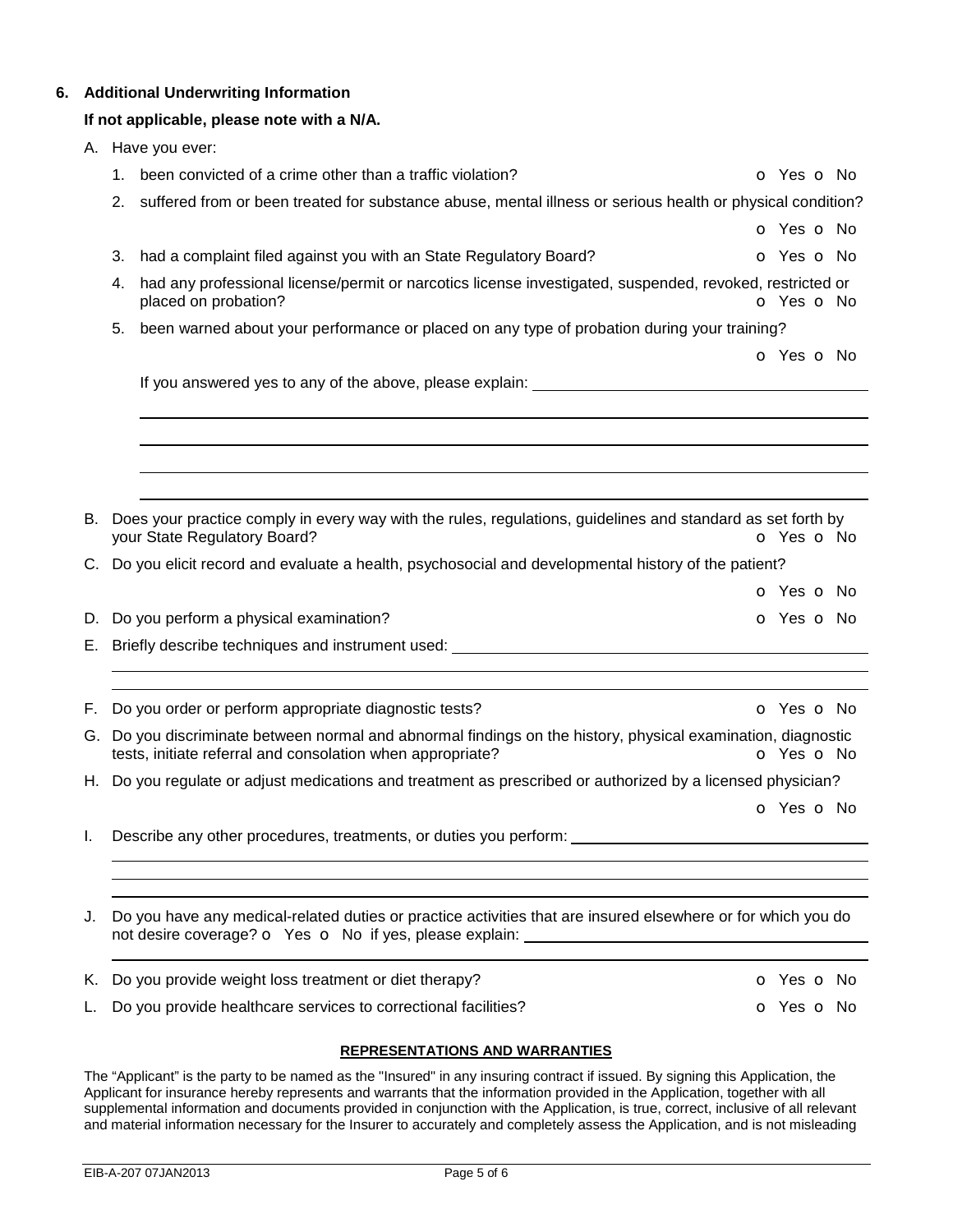# **6. Additional Underwriting Information**

# **If not applicable, please note with a N/A.**

| А. |    | Have you ever:                                                                                                                                                                 |                          |
|----|----|--------------------------------------------------------------------------------------------------------------------------------------------------------------------------------|--------------------------|
|    | 1. | been convicted of a crime other than a traffic violation?                                                                                                                      | <b>o</b> Yes <b>o</b> No |
|    | 2. | suffered from or been treated for substance abuse, mental illness or serious health or physical condition?                                                                     |                          |
|    |    |                                                                                                                                                                                | <b>o</b> Yes <b>o</b> No |
|    | 3. | had a complaint filed against you with an State Regulatory Board?                                                                                                              | <b>o</b> Yes <b>o</b> No |
|    | 4. | had any professional license/permit or narcotics license investigated, suspended, revoked, restricted or<br>placed on probation?                                               | o Yes o No               |
|    | 5. | been warned about your performance or placed on any type of probation during your training?                                                                                    |                          |
|    |    |                                                                                                                                                                                | O Yes O No               |
|    |    | If you answered yes to any of the above, please explain:<br><u> 1980 - Jan Stein Harry Harry Harry Harry Harry Harry Harry Harry Harry Harry Harry Harry Harry Harry Harry</u> |                          |
|    |    |                                                                                                                                                                                |                          |
|    |    |                                                                                                                                                                                |                          |
|    |    |                                                                                                                                                                                |                          |
|    |    |                                                                                                                                                                                |                          |
| В. |    | Does your practice comply in every way with the rules, regulations, guidelines and standard as set forth by<br>your State Regulatory Board?                                    | O Yes O No               |
|    |    | C. Do you elicit record and evaluate a health, psychosocial and developmental history of the patient?                                                                          |                          |
|    |    |                                                                                                                                                                                | <b>o</b> Yes <b>o</b> No |
|    |    | D. Do you perform a physical examination?                                                                                                                                      | <b>O</b> Yes <b>O</b> No |
| Е. |    | Briefly describe techniques and instrument used: _______________________________                                                                                               |                          |
|    |    |                                                                                                                                                                                |                          |
| F. |    | Do you order or perform appropriate diagnostic tests?                                                                                                                          | <b>o</b> Yes <b>o</b> No |
| G. |    | Do you discriminate between normal and abnormal findings on the history, physical examination, diagnostic<br>tests, initiate referral and consolation when appropriate?        | o Yes o No               |
|    |    | H. Do you regulate or adjust medications and treatment as prescribed or authorized by a licensed physician?                                                                    |                          |
|    |    |                                                                                                                                                                                | O Yes O No               |
|    |    | Describe any other procedures, treatments, or duties you perform:                                                                                                              |                          |
|    |    |                                                                                                                                                                                |                          |
|    |    |                                                                                                                                                                                |                          |
| J. |    | Do you have any medical-related duties or practice activities that are insured elsewhere or for which you do                                                                   |                          |
|    |    |                                                                                                                                                                                |                          |
| Κ. |    | Do you provide weight loss treatment or diet therapy?                                                                                                                          | O Yes O No               |
| L. |    | Do you provide healthcare services to correctional facilities?                                                                                                                 | o Yes o No               |

## **REPRESENTATIONS AND WARRANTIES**

The "Applicant" is the party to be named as the "Insured" in any insuring contract if issued. By signing this Application, the Applicant for insurance hereby represents and warrants that the information provided in the Application, together with all supplemental information and documents provided in conjunction with the Application, is true, correct, inclusive of all relevant and material information necessary for the Insurer to accurately and completely assess the Application, and is not misleading